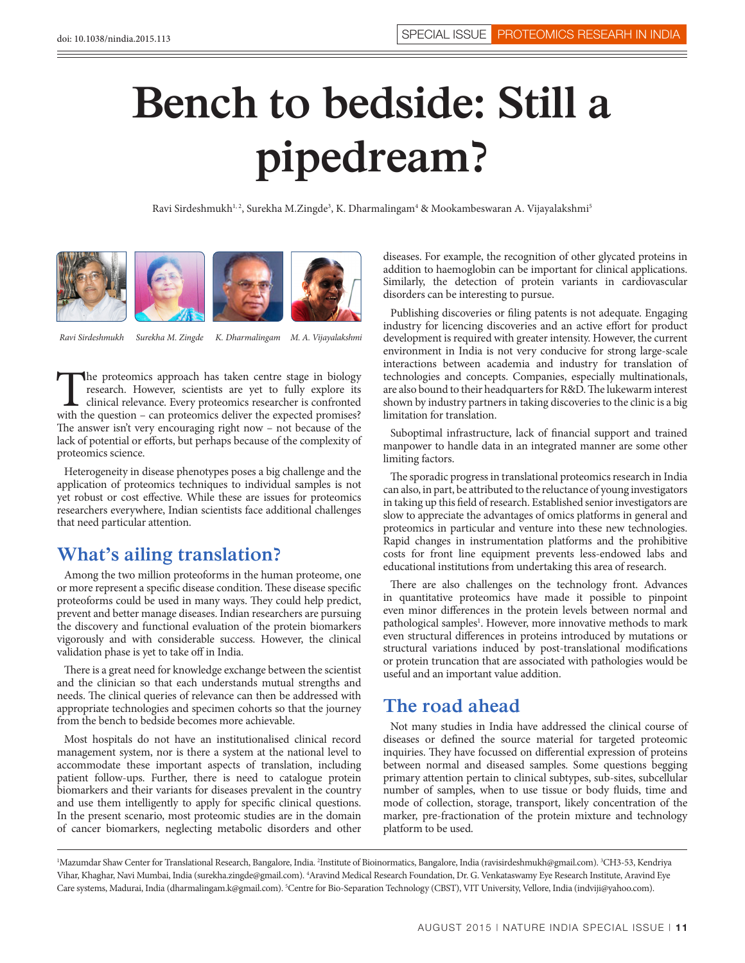## **Bench to bedside: Still a pipedream?**

Ravi Sirdeshmukh<sup>1, 2</sup>, Surekha M.Zingde<sup>3</sup>, K. Dharmalingam<sup>4</sup> & Mookambeswaran A. Vijayalakshmi<sup>5</sup>



*Ravi Sirdeshmukh Surekha M. Zingde K. Dharmalingam M. A. Vijayalakshmi*

The proteomics approach has taken centre stage in biology research. However, scientists are yet to fully explore its clinical relevance. Every proteomics researcher is confronted with the question – can proteomics deliver research. However, scientists are yet to fully explore its clinical relevance. Every proteomics researcher is confronted The answer isn't very encouraging right now – not because of the lack of potential or efforts, but perhaps because of the complexity of proteomics science.

Heterogeneity in disease phenotypes poses a big challenge and the application of proteomics techniques to individual samples is not yet robust or cost effective. While these are issues for proteomics researchers everywhere, Indian scientists face additional challenges that need particular attention.

## **What's ailing translation?**

Among the two million proteoforms in the human proteome, one or more represent a specific disease condition. These disease specific proteoforms could be used in many ways. They could help predict, prevent and better manage diseases. Indian researchers are pursuing the discovery and functional evaluation of the protein biomarkers vigorously and with considerable success. However, the clinical validation phase is yet to take off in India.

There is a great need for knowledge exchange between the scientist and the clinician so that each understands mutual strengths and needs. The clinical queries of relevance can then be addressed with appropriate technologies and specimen cohorts so that the journey from the bench to bedside becomes more achievable.

Most hospitals do not have an institutionalised clinical record management system, nor is there a system at the national level to accommodate these important aspects of translation, including patient follow-ups. Further, there is need to catalogue protein biomarkers and their variants for diseases prevalent in the country and use them intelligently to apply for specific clinical questions. In the present scenario, most proteomic studies are in the domain of cancer biomarkers, neglecting metabolic disorders and other

diseases. For example, the recognition of other glycated proteins in addition to haemoglobin can be important for clinical applications. Similarly, the detection of protein variants in cardiovascular disorders can be interesting to pursue.

Publishing discoveries or filing patents is not adequate. Engaging industry for licencing discoveries and an active effort for product development is required with greater intensity. However, the current environment in India is not very conducive for strong large-scale interactions between academia and industry for translation of technologies and concepts. Companies, especially multinationals, are also bound to their headquarters for R&D. The lukewarm interest shown by industry partners in taking discoveries to the clinic is a big limitation for translation.

Suboptimal infrastructure, lack of financial support and trained manpower to handle data in an integrated manner are some other limiting factors.

The sporadic progress in translational proteomics research in India can also, in part, be attributed to the reluctance of young investigators in taking up this field of research. Established senior investigators are slow to appreciate the advantages of omics platforms in general and proteomics in particular and venture into these new technologies. Rapid changes in instrumentation platforms and the prohibitive costs for front line equipment prevents less-endowed labs and educational institutions from undertaking this area of research.

There are also challenges on the technology front. Advances in quantitative proteomics have made it possible to pinpoint even minor differences in the protein levels between normal and pathological samples<sup>1</sup>. However, more innovative methods to mark even structural differences in proteins introduced by mutations or structural variations induced by post-translational modifications or protein truncation that are associated with pathologies would be useful and an important value addition.

## **The road ahead**

Not many studies in India have addressed the clinical course of diseases or defined the source material for targeted proteomic inquiries. They have focussed on differential expression of proteins between normal and diseased samples. Some questions begging primary attention pertain to clinical subtypes, sub-sites, subcellular number of samples, when to use tissue or body fluids, time and mode of collection, storage, transport, likely concentration of the marker, pre-fractionation of the protein mixture and technology platform to be used.

<sup>1</sup>Mazumdar Shaw Center for Translational Research, Bangalore, India. <sup>2</sup>Institute of Bioinormatics, Bangalore, India (ravisirdeshmukh@gmail.com). <sup>3</sup>CH3-53, Kendriya Vihar, Khaghar, Navi Mumbai, India (surekha.zingde@gmail.com). <sup>4</sup>Aravind Medical Research Foundation, Dr. G. Venkataswamy Eye Research Institute, Aravind Eye Care systems, Madurai, India (dharmalingam.k@gmail.com). <sup>5</sup>Centre for Bio-Separation Technology (CBST), VIT University, Vellore, India (indviji@yahoo.com).